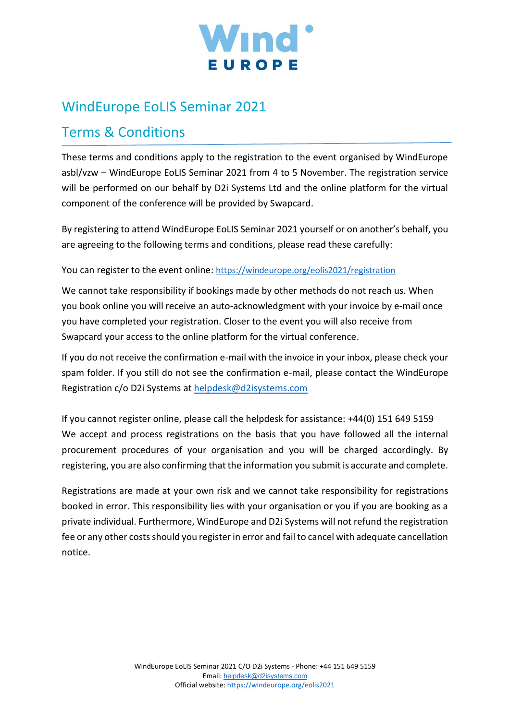

# WindEurope EoLIS Seminar 2021

# Terms & Conditions

These terms and conditions apply to the registration to the event organised by WindEurope asbl/vzw – WindEurope EoLIS Seminar 2021 from 4 to 5 November. The registration service will be performed on our behalf by D2i Systems Ltd and the online platform for the virtual component of the conference will be provided by Swapcard.

By registering to attend WindEurope EoLIS Seminar 2021 yourself or on another's behalf, you are agreeing to the following terms and conditions, please read these carefully:

You can register to the event online: <https://windeurope.org/eolis2021/registration>

We cannot take responsibility if bookings made by other methods do not reach us. When you book online you will receive an auto-acknowledgment with your invoice by e-mail once you have completed your registration. Closer to the event you will also receive from Swapcard your access to the online platform for the virtual conference.

If you do not receive the confirmation e-mail with the invoice in your inbox, please check your spam folder. If you still do not see the confirmation e-mail, please contact the WindEurope Registration c/o D2i Systems at [helpdesk@d2isystems.com](mailto:helpdesk@d2isystems.com)

If you cannot register online, please call the helpdesk for assistance: +44(0) 151 649 5159 We accept and process registrations on the basis that you have followed all the internal procurement procedures of your organisation and you will be charged accordingly. By registering, you are also confirming that the information you submit is accurate and complete.

Registrations are made at your own risk and we cannot take responsibility for registrations booked in error. This responsibility lies with your organisation or you if you are booking as a private individual. Furthermore, WindEurope and D2i Systems will not refund the registration fee or any other costs should you register in error and fail to cancel with adequate cancellation notice.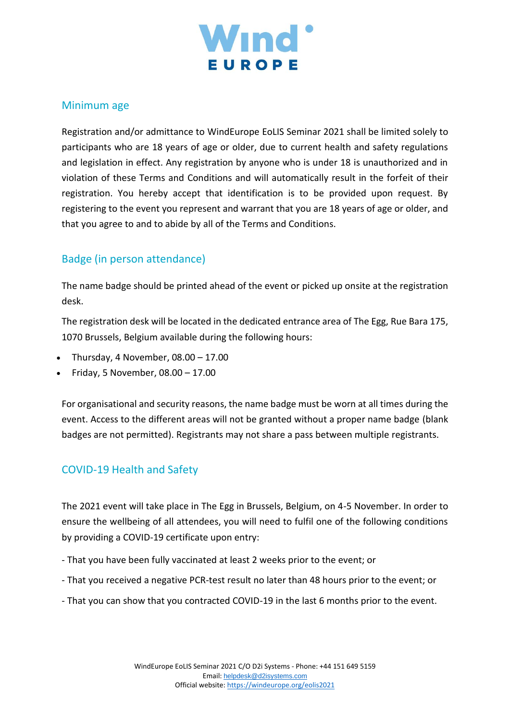

## Minimum age

Registration and/or admittance to WindEurope EoLIS Seminar 2021 shall be limited solely to participants who are 18 years of age or older, due to current health and safety regulations and legislation in effect. Any registration by anyone who is under 18 is unauthorized and in violation of these Terms and Conditions and will automatically result in the forfeit of their registration. You hereby accept that identification is to be provided upon request. By registering to the event you represent and warrant that you are 18 years of age or older, and that you agree to and to abide by all of the Terms and Conditions.

# Badge (in person attendance)

The name badge should be printed ahead of the event or picked up onsite at the registration desk.

The registration desk will be located in the dedicated entrance area of The Egg, Rue Bara 175, 1070 Brussels, Belgium available during the following hours:

- Thursday, 4 November,  $08.00 17.00$
- Friday, 5 November, 08.00 17.00

For organisational and security reasons, the name badge must be worn at all times during the event. Access to the different areas will not be granted without a proper name badge (blank badges are not permitted). Registrants may not share a pass between multiple registrants.

# COVID-19 Health and Safety

The 2021 event will take place in The Egg in Brussels, Belgium, on 4-5 November. In order to ensure the wellbeing of all attendees, you will need to fulfil one of the following conditions by providing a COVID-19 certificate upon entry:

- That you have been fully vaccinated at least 2 weeks prior to the event; or
- That you received a negative PCR-test result no later than 48 hours prior to the event; or
- That you can show that you contracted COVID-19 in the last 6 months prior to the event.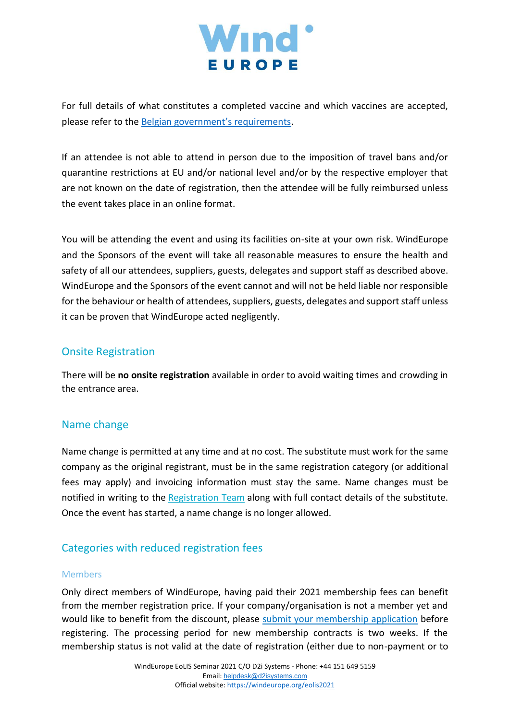

For full details of what constitutes a completed vaccine and which vaccines are accepted, please refer to the [Belgian government's requirements](https://www.info-coronavirus.be/en/travels/).

If an attendee is not able to attend in person due to the imposition of travel bans and/or quarantine restrictions at EU and/or national level and/or by the respective employer that are not known on the date of registration, then the attendee will be fully reimbursed unless the event takes place in an online format.

You will be attending the event and using its facilities on-site at your own risk. WindEurope and the Sponsors of the event will take all reasonable measures to ensure the health and safety of all our attendees, suppliers, guests, delegates and support staff as described above. WindEurope and the Sponsors of the event cannot and will not be held liable nor responsible for the behaviour or health of attendees, suppliers, guests, delegates and support staff unless it can be proven that WindEurope acted negligently.

## Onsite Registration

There will be **no onsite registration** available in order to avoid waiting times and crowding in the entrance area.

## Name change

Name change is permitted at any time and at no cost. The substitute must work for the same company as the original registrant, must be in the same registration category (or additional fees may apply) and invoicing information must stay the same. Name changes must be notified in writing to the [Registration Team](mailto:helpdesk@d2isystems.com) along with full contact details of the substitute. Once the event has started, a name change is no longer allowed.

# Categories with reduced registration fees

#### Members

Only direct members of WindEurope, having paid their 2021 membership fees can benefit from the member registration price. If your company/organisation is not a member yet and would like to benefit from the discount, please [submit your membership application](https://windeurope.org/membership/how-to-join/) before registering. The processing period for new membership contracts is two weeks. If the membership status is not valid at the date of registration (either due to non-payment or to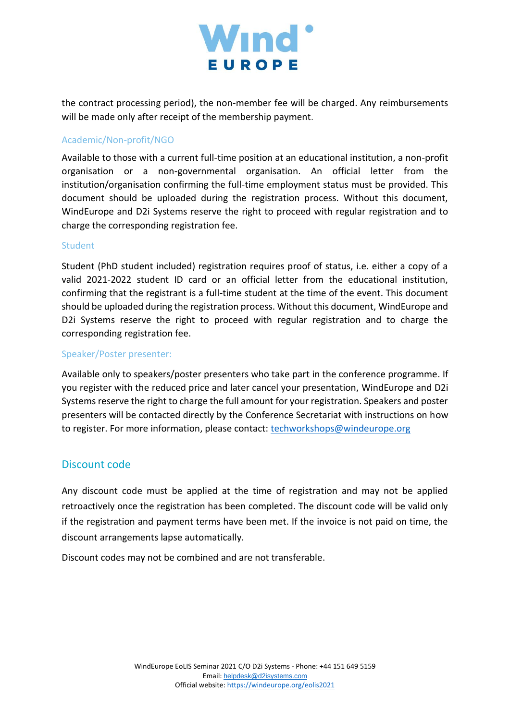

the contract processing period), the non-member fee will be charged. Any reimbursements will be made only after receipt of the membership payment.

#### Academic/Non-profit/NGO

Available to those with a current full-time position at an educational institution, a non-profit organisation or a non-governmental organisation. An official letter from the institution/organisation confirming the full-time employment status must be provided. This document should be uploaded during the registration process. Without this document, WindEurope and D2i Systems reserve the right to proceed with regular registration and to charge the corresponding registration fee.

#### Student

Student (PhD student included) registration requires proof of status, i.e. either a copy of a valid 2021-2022 student ID card or an official letter from the educational institution, confirming that the registrant is a full-time student at the time of the event. This document should be uploaded during the registration process. Without this document, WindEurope and D2i Systems reserve the right to proceed with regular registration and to charge the corresponding registration fee.

#### Speaker/Poster presenter:

Available only to speakers/poster presenters who take part in the conference programme. If you register with the reduced price and later cancel your presentation, WindEurope and D2i Systems reserve the right to charge the full amount for your registration. Speakers and poster presenters will be contacted directly by the Conference Secretariat with instructions on how to register. For more information, please contact: [techworkshops@windeurope.org](mailto:techworkshops@windeurope.org)

## Discount code

Any discount code must be applied at the time of registration and may not be applied retroactively once the registration has been completed. The discount code will be valid only if the registration and payment terms have been met. If the invoice is not paid on time, the discount arrangements lapse automatically.

Discount codes may not be combined and are not transferable.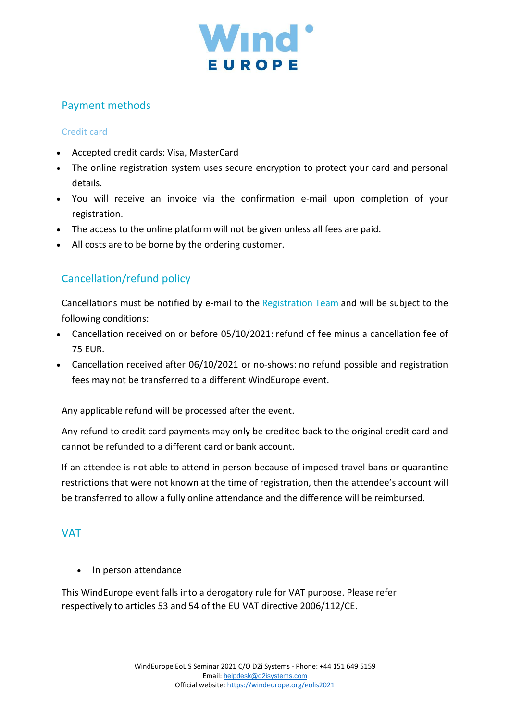

# Payment methods

#### Credit card

- Accepted credit cards: Visa, MasterCard
- The online registration system uses secure encryption to protect your card and personal details.
- You will receive an invoice via the confirmation e-mail upon completion of your registration.
- The access to the online platform will not be given unless all fees are paid.
- All costs are to be borne by the ordering customer.

# Cancellation/refund policy

Cancellations must be notified by e-mail to the [Registration Team](mailto:helpdesk@d2isystems.com) and will be subject to the following conditions:

- Cancellation received on or before 05/10/2021: refund of fee minus a cancellation fee of 75 EUR.
- Cancellation received after 06/10/2021 or no-shows: no refund possible and registration fees may not be transferred to a different WindEurope event.

Any applicable refund will be processed after the event.

Any refund to credit card payments may only be credited back to the original credit card and cannot be refunded to a different card or bank account.

If an attendee is not able to attend in person because of imposed travel bans or quarantine restrictions that were not known at the time of registration, then the attendee's account will be transferred to allow a fully online attendance and the difference will be reimbursed.

## VAT

• In person attendance

This WindEurope event falls into a derogatory rule for VAT purpose. Please refer respectively to articles 53 and 54 of the EU VAT directive 2006/112/CE.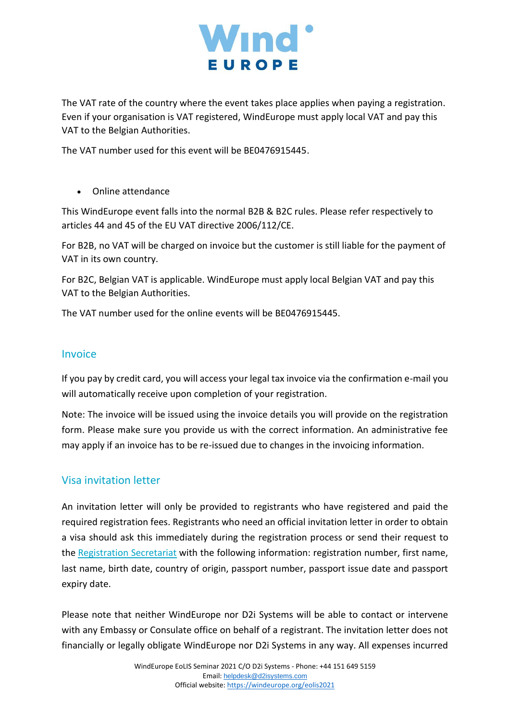

The VAT rate of the country where the event takes place applies when paying a registration. Even if your organisation is VAT registered, WindEurope must apply local VAT and pay this VAT to the Belgian Authorities.

The VAT number used for this event will be BE0476915445.

• Online attendance

This WindEurope event falls into the normal B2B & B2C rules. Please refer respectively to articles 44 and 45 of the EU VAT directive 2006/112/CE.

For B2B, no VAT will be charged on invoice but the customer is still liable for the payment of VAT in its own country.

For B2C, Belgian VAT is applicable. WindEurope must apply local Belgian VAT and pay this VAT to the Belgian Authorities.

The VAT number used for the online events will be BE0476915445.

#### Invoice

If you pay by credit card, you will access your legal tax invoice via the confirmation e-mail you will automatically receive upon completion of your registration.

Note: The invoice will be issued using the invoice details you will provide on the registration form. Please make sure you provide us with the correct information. An administrative fee may apply if an invoice has to be re-issued due to changes in the invoicing information.

#### Visa invitation letter

An invitation letter will only be provided to registrants who have registered and paid the required registration fees. Registrants who need an official invitation letter in order to obtain a visa should ask this immediately during the registration process or send their request to the [Registration Secretariat](mailto:helpdesk@d2isystems.com) with the following information: registration number, first name, last name, birth date, country of origin, passport number, passport issue date and passport expiry date.

Please note that neither WindEurope nor D2i Systems will be able to contact or intervene with any Embassy or Consulate office on behalf of a registrant. The invitation letter does not financially or legally obligate WindEurope nor D2i Systems in any way. All expenses incurred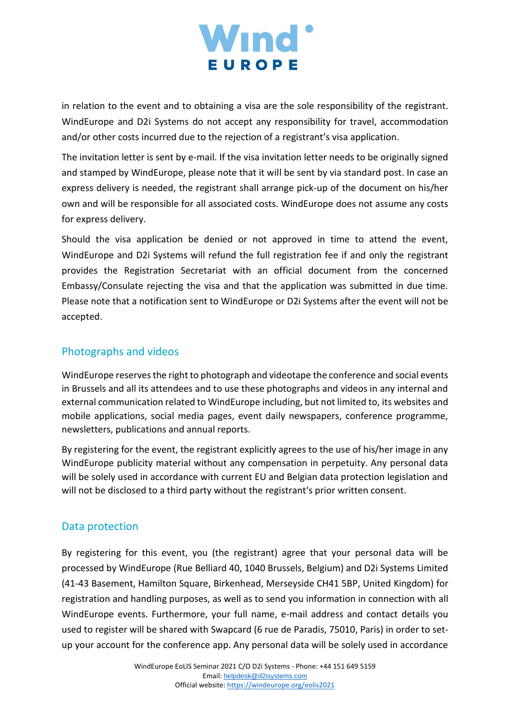

in relation to the event and to obtaining a visa are the sole responsibility of the registrant. WindEurope and D2i Systems do not accept any responsibility for travel, accommodation and/or other costs incurred due to the rejection of a registrant's visa application.

The invitation letter is sent by e-mail. If the visa invitation letter needs to be originally signed and stamped by WindEurope, please note that it will be sent by via standard post. In case an express delivery is needed, the registrant shall arrange pick-up of the document on his/her own and will be responsible for all associated costs. WindEurope does not assume any costs for express delivery.

Should the visa application be denied or not approved in time to attend the event, WindEurope and D2i Systems will refund the full registration fee if and only the registrant provides the Registration Secretariat with an official document from the concerned Embassy/Consulate rejecting the visa and that the application was submitted in due time. Please note that a notification sent to WindEurope or D2i Systems after the event will not be accepted.

## Photographs and videos

WindEurope reserves the right to photograph and videotape the conference and social events in Brussels and all its attendees and to use these photographs and videos in any internal and external communication related to WindEurope including, but not limited to, its websites and mobile applications, social media pages, event daily newspapers, conference programme, newsletters, publications and annual reports.

By registering for the event, the registrant explicitly agrees to the use of his/her image in any WindEurope publicity material without any compensation in perpetuity. Any personal data will be solely used in accordance with current EU and Belgian data protection legislation and will not be disclosed to a third party without the registrant's prior written consent.

## Data protection

By registering for this event, you (the registrant) agree that your personal data will be processed by WindEurope (Rue Belliard 40, 1040 Brussels, Belgium) and D2i Systems Limited (41-43 Basement, Hamilton Square, Birkenhead, Merseyside CH41 5BP, United Kingdom) for registration and handling purposes, as well as to send you information in connection with all WindEurope events. Furthermore, your full name, e-mail address and contact details you used to register will be shared with Swapcard (6 rue de Paradis, 75010, Paris) in order to setup your account for the conference app. Any personal data will be solely used in accordance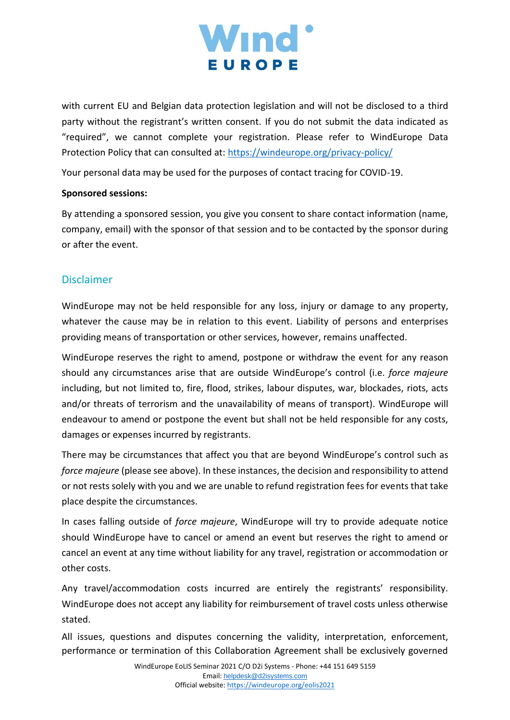

with current EU and Belgian data protection legislation and will not be disclosed to a third party without the registrant's written consent. If you do not submit the data indicated as "required", we cannot complete your registration. Please refer to WindEurope Data Protection Policy that can consulted at:<https://windeurope.org/privacy-policy/>

Your personal data may be used for the purposes of contact tracing for COVID-19.

#### **Sponsored sessions:**

By attending a sponsored session, you give you consent to share contact information (name, company, email) with the sponsor of that session and to be contacted by the sponsor during or after the event.

## Disclaimer

WindEurope may not be held responsible for any loss, injury or damage to any property, whatever the cause may be in relation to this event. Liability of persons and enterprises providing means of transportation or other services, however, remains unaffected.

WindEurope reserves the right to amend, postpone or withdraw the event for any reason should any circumstances arise that are outside WindEurope's control (i.e. *force majeure* including, but not limited to, fire, flood, strikes, labour disputes, war, blockades, riots, acts and/or threats of terrorism and the unavailability of means of transport). WindEurope will endeavour to amend or postpone the event but shall not be held responsible for any costs, damages or expenses incurred by registrants.

There may be circumstances that affect you that are beyond WindEurope's control such as *force majeure* (please see above). In these instances, the decision and responsibility to attend or not rests solely with you and we are unable to refund registration fees for events that take place despite the circumstances.

In cases falling outside of *force majeure*, WindEurope will try to provide adequate notice should WindEurope have to cancel or amend an event but reserves the right to amend or cancel an event at any time without liability for any travel, registration or accommodation or other costs.

Any travel/accommodation costs incurred are entirely the registrants' responsibility. WindEurope does not accept any liability for reimbursement of travel costs unless otherwise stated.

All issues, questions and disputes concerning the validity, interpretation, enforcement, performance or termination of this Collaboration Agreement shall be exclusively governed